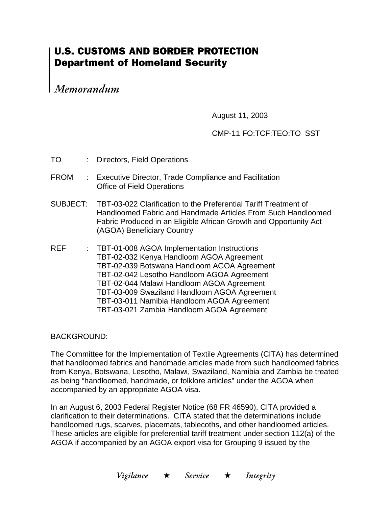## **U.S. CUSTOMS AND BORDER PROTECTION Department of Homeland Security**

Memorandum

August 11, 2003

## CMP-11 FO:TCF:TEO:TO SST

| TO          | : Directors, Field Operations                                                                                                                                                                                                                                                                                                                                                  |
|-------------|--------------------------------------------------------------------------------------------------------------------------------------------------------------------------------------------------------------------------------------------------------------------------------------------------------------------------------------------------------------------------------|
| <b>FROM</b> | : Executive Director, Trade Compliance and Facilitation<br><b>Office of Field Operations</b>                                                                                                                                                                                                                                                                                   |
|             | SUBJECT: TBT-03-022 Clarification to the Preferential Tariff Treatment of<br>Handloomed Fabric and Handmade Articles From Such Handloomed<br>Fabric Produced in an Eligible African Growth and Opportunity Act<br>(AGOA) Beneficiary Country                                                                                                                                   |
| REF         | : TBT-01-008 AGOA Implementation Instructions<br>TBT-02-032 Kenya Handloom AGOA Agreement<br>TBT-02-039 Botswana Handloom AGOA Agreement<br>TBT-02-042 Lesotho Handloom AGOA Agreement<br>TBT-02-044 Malawi Handloom AGOA Agreement<br>TBT-03-009 Swaziland Handloom AGOA Agreement<br>TBT-03-011 Namibia Handloom AGOA Agreement<br>TBT-03-021 Zambia Handloom AGOA Agreement |

BACKGROUND:

The Committee for the Implementation of Textile Agreements (CITA) has determined that handloomed fabrics and handmade articles made from such handloomed fabrics from Kenya, Botswana, Lesotho, Malawi, Swaziland, Namibia and Zambia be treated as being "handloomed, handmade, or folklore articles" under the AGOA when accompanied by an appropriate AGOA visa.

In an August 6, 2003 Federal Register Notice (68 FR 46590), CITA provided a clarification to their determinations. CITA stated that the determinations include handloomed rugs, scarves, placemats, tablecoths, and other handloomed articles. These articles are eligible for preferential tariff treatment under section 112(a) of the AGOA if accompanied by an AGOA export visa for Grouping 9 issued by the